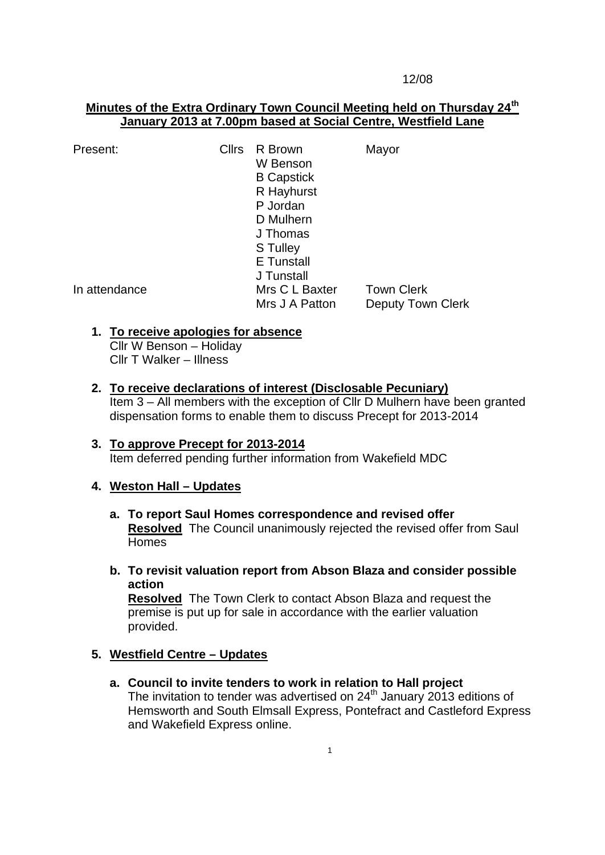#### 12/08

# **Minutes of the Extra Ordinary Town Council Meeting held on Thursday 24th January 2013 at 7.00pm based at Social Centre, Westfield Lane**

| Present:      | <b>Cllrs</b> | R Brown<br>W Benson<br><b>B</b> Capstick | Mayor                    |
|---------------|--------------|------------------------------------------|--------------------------|
|               |              | R Hayhurst                               |                          |
|               |              | P Jordan                                 |                          |
|               |              | D Mulhern                                |                          |
|               |              | J Thomas                                 |                          |
|               |              | S Tulley                                 |                          |
|               |              | E Tunstall                               |                          |
|               |              | J Tunstall                               |                          |
| In attendance |              | Mrs C L Baxter                           | <b>Town Clerk</b>        |
|               |              | Mrs J A Patton                           | <b>Deputy Town Clerk</b> |

## **1. To receive apologies for absence**

Cllr W Benson – Holiday Cllr T Walker – Illness

## **2. To receive declarations of interest (Disclosable Pecuniary)**

Item 3 – All members with the exception of Cllr D Mulhern have been granted dispensation forms to enable them to discuss Precept for 2013-2014

### **3. To approve Precept for 2013-2014** Item deferred pending further information from Wakefield MDC

## **4. Weston Hall – Updates**

- **a. To report Saul Homes correspondence and revised offer Resolved** The Council unanimously rejected the revised offer from Saul Homes
- **b. To revisit valuation report from Abson Blaza and consider possible action**

**Resolved** The Town Clerk to contact Abson Blaza and request the premise is put up for sale in accordance with the earlier valuation provided.

## **5. Westfield Centre – Updates**

**a. Council to invite tenders to work in relation to Hall project** The invitation to tender was advertised on  $24<sup>th</sup>$  January 2013 editions of Hemsworth and South Elmsall Express, Pontefract and Castleford Express and Wakefield Express online.